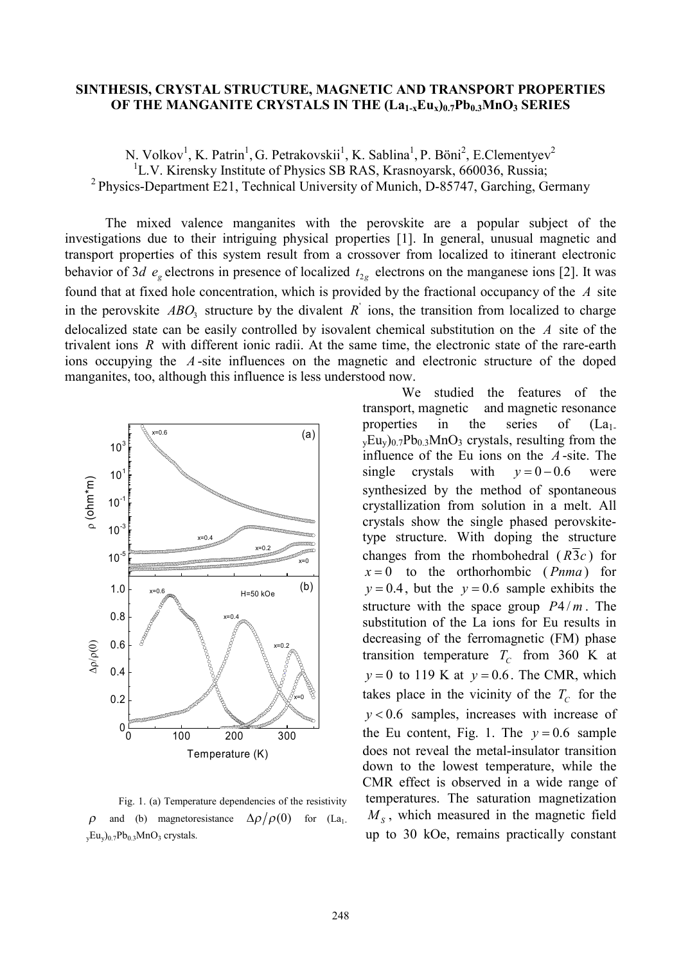## **SINTHESIS, CRYSTAL STRUCTURE, MAGNETIC AND TRANSPORT PROPERTIES OF THE MANGANITE CRYSTALS IN THE (La1-xEux)0.7Pb0.3MnO<sup>3</sup> SERIES**

N. Volkov<sup>1</sup>, K. Patrin<sup>1</sup>, G. Petrakovskii<sup>1</sup>, K. Sablina<sup>1</sup>, P. Böni<sup>2</sup>, E.Clementyev<sup>2</sup> <sup>1</sup>L.V. Kirensky Institute of Physics SB RAS, Krasnoyarsk, 660036, Russia; <sup>2</sup> Physics-Department E21, Technical University of Munich, D-85747, Garching, Germany

The mixed valence manganites with the perovskite are a popular subject of the investigations due to their intriguing physical properties [1]. In general, unusual magnetic and transport properties of this system result from a crossover from localized to itinerant electronic behavior of 3*d*  $e_g$  electrons in presence of localized  $t_{2g}$  electrons on the manganese ions [2]. It was found that at fixed hole concentration, which is provided by the fractional occupancy of the *A* site in the perovskite  $\text{ABO}_3$  structure by the divalent  $\text{R}$  ions, the transition from localized to charge delocalized state can be easily controlled by isovalent chemical substitution on the *A* site of the trivalent ions *R* with different ionic radii. At the same time, the electronic state of the rare-earth ions occupying the *A* -site influences on the magnetic and electronic structure of the doped manganites, too, although this influence is less understood now.



Fig. 1. (a) Temperature dependencies of the resistivity  $\rho$  and (b) magnetoresistance  $\Delta \rho / \rho(0)$  for (La<sub>1-</sub>  $_{y}Eu_{y}$ )<sup>0.7</sup>Pb<sup>0.3</sup>MnO<sub>3</sub> crystals.

We studied the features of the transport, magnetic and magnetic resonance properties in the series of  $(La_1$ .  $v<sub>v</sub>Eu<sub>v</sub>$ )<sub>0.7</sub>Pb<sub>0.3</sub>MnO<sub>3</sub> crystals, resulting from the influence of the Eu ions on the *A* -site. The single crystals with  $v = 0-0.6$  were synthesized by the method of spontaneous crystallization from solution in a melt. All crystals show the single phased perovskitetype structure. With doping the structure changes from the rhombohedral  $(R\overline{3}c)$  for  $x = 0$  to the orthorhombic (*Pnma*) for  $y = 0.4$ , but the  $y = 0.6$  sample exhibits the structure with the space group  $P4/m$ . The substitution of the La ions for Eu results in decreasing of the ferromagnetic (FM) phase transition temperature  $T_c$  from 360 K at  $y = 0$  to 119 K at  $y = 0.6$ . The CMR, which takes place in the vicinity of the  $T_c$  for the *y* < 0.6 samples, increases with increase of the Eu content, Fig. 1. The  $y = 0.6$  sample does not reveal the metal-insulator transition down to the lowest temperature, while the CMR effect is observed in a wide range of temperatures. The saturation magnetization  $M<sub>S</sub>$ , which measured in the magnetic field up to 30 kOe, remains practically constant